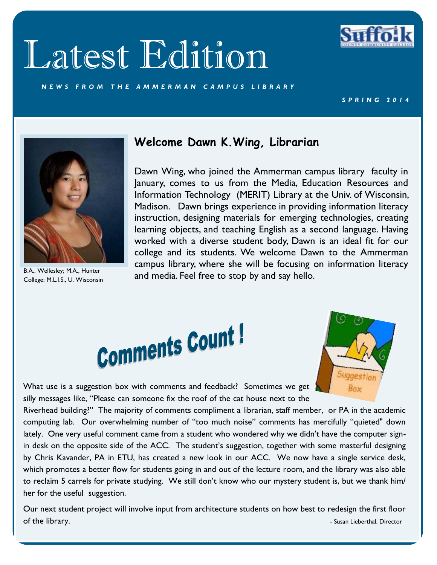# Latest Edition

*NEWS FROM THE AMMERMAN CAMPUS LIBRARY* 



B.A., Wellesley; M.A., Hunter College; M.L.I.S., U. Wisconsin

## **Dawn K.Wing, Librarian campus library in Ammerman campus library.**

**Library 3 Dawn Wing, who joined the Ammerman campus library faculty in Providing information** literacy instruction in the Media, Education Resources and **Cash Company, company** objects to the month and the case at a second language. Information Technology (MERIT) Library at the Univ. of Wisconsin, **Students. We walk and Madison.** Dawn brings experience in providing information literacy  $\blacksquare$  instruction, designing materials for emerging technologies, creating learning objects, and teaching English as a second language. Having worked with a diverse student body, Dawn is an ideal fit for our college and its students. We welcome Dawn to the Ammerman campus library, where she will be focusing on information literacy and media. Feel free to stop by and say hello.





What use is a suggestion box with comments and feedback? Sometimes we get silly messages like, "Please can someone fix the roof of the cat house next to the

Riverhead building?" The majority of comments compliment a librarian, staff member, or PA in the academic computing lab. Our overwhelming number of "too much noise" comments has mercifully "quieted" down lately. One very useful comment came from a student who wondered why we didn't have the computer signin desk on the opposite side of the ACC. The student's suggestion, together with some masterful designing by Chris Kavander, PA in ETU, has created a new look in our ACC. We now have a single service desk, which promotes a better flow for students going in and out of the lecture room, and the library was also able to reclaim 5 carrels for private studying. We still don't know who our mystery student is, but we thank him/ her for the useful suggestion.

Our next student project will involve input from architecture students on how best to redesign the first floor of the library. The library of the library of the library of the library of the library of the library of the library of the library of the library of the library of the library of the library of the library of the library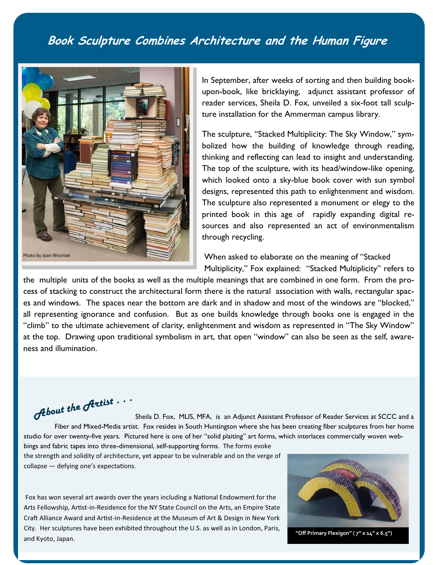#### **Book Sculpture Combines Architecture and the Human Figure**



In September, after weeks of sorting and then building bookupon-book, like bricklaying, adjunct assistant professor of reader services, Sheila D. Fox, unveiled a six-foot tall sculpture installation for the Ammerman campus library.

The sculpture, "Stacked Multiplicity: The Sky Window," symbolized how the building of knowledge through reading, thinking and reflecting can lead to insight and understanding. The top of the sculpture, with its head/window-like opening, which looked onto a sky-blue book cover with sun symbol designs, represented this path to enlightenment and wisdom. The sculpture also represented a monument or elegy to the printed book in this age of rapidly expanding digital resources and also represented an act of environmentalism through recycling.

 When asked to elaborate on the meaning of "Stacked Multiplicity," Fox explained: "Stacked Multiplicity" refers to

the multiple units of the books as well as the multiple meanings that are combined in one form. From the process of stacking to construct the architectural form there is the natural association with walls, rectangular spaces and windows. The spaces near the bottom are dark and in shadow and most of the windows are "blocked," all representing ignorance and confusion. But as one builds knowledge through books one is engaged in the "climb" to the ultimate achievement of clarity, enlightenment and wisdom as represented in "The Sky Window" at the top. Drawing upon traditional symbolism in art, that open "window" can also be seen as the self, awareness and illumination.

#### Sheila D. Fox, MLIS, MFA, is an Adjunct Assistant Professor of Reader Services at SCCC and a Fiber and Mixed-Media artist. Fox resides in South Huntington where she has been creating fiber sculptures from her home studio for over twenty-five years. Pictured here is one of her "solid plaiting" art forms, which interlaces commercially woven web-*About the Artist . . .*

bings and fabric tapes into three-dimensional, self-supporting forms. The forms evoke the strength and solidity of architecture, yet appear to be vulnerable and on the verge of collapse - defying one's expectations.

Fox has won several art awards over the years including a National Endowment for the Arts Fellowship, Artist-in-Residence for the NY State Council on the Arts, an Empire State Craft Alliance Award and Artist-in-Residence at the Museum of Art & Design in New York City. Her sculptures have been exhibited throughout the U.S. as well as in London, Paris, and Kyoto, Japan. **"Off Primary Flexigon" ( 7" x 14" x 6.5")**

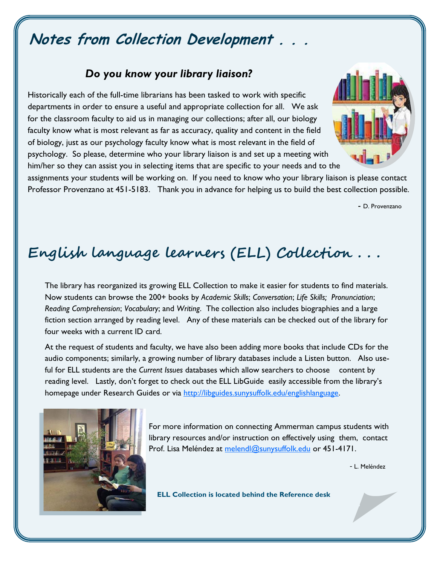# **Notes from Collection Development . . .**

#### *Do you know your library liaison?*

Historically each of the full-time librarians has been tasked to work with specific departments in order to ensure a useful and appropriate collection for all. We ask for the classroom faculty to aid us in managing our collections; after all, our biology faculty know what is most relevant as far as accuracy, quality and content in the field of biology, just as our psychology faculty know what is most relevant in the field of psychology. So please, determine who your library liaison is and set up a meeting with him/her so they can assist you in selecting items that are specific to your needs and to the



assignments your students will be working on. If you need to know who your library liaison is please contact Professor Provenzano at 451-5183. Thank you in advance for helping us to build the best collection possible.

- D. Provenzano

# $Enality$  language learners (ELL) Collection ...

The library has reorganized its growing ELL Collection to make it easier for students to find materials. Now students can browse the 200+ books by *Academic Skills*; *Conversation*; *Life Skills; Pronunciation*; *Reading Comprehension*; *Vocabulary*; and *Writing*. The collection also includes biographies and a large fiction section arranged by reading level. Any of these materials can be checked out of the library for four weeks with a current ID card.

At the request of students and faculty, we have also been adding more books that include CDs for the audio components; similarly, a growing number of library databases include a Listen button. Also useful for ELL students are the *Current Issues* databases which allow searchers to choose content by reading level. Lastly, don't forget to check out the ELL LibGuide easily accessible from the library's homepage under Research Guides or via http://libguides.sunysuffolk.edu/englishlanguage.



For more information on connecting Ammerman campus students with library resources and/or instruction on effectively using them, contact Prof. Lisa Meléndez at melendl@sunysuffolk.edu or 451-4171.

- L. Meléndez

**ELL Collection is located behind the Reference desk**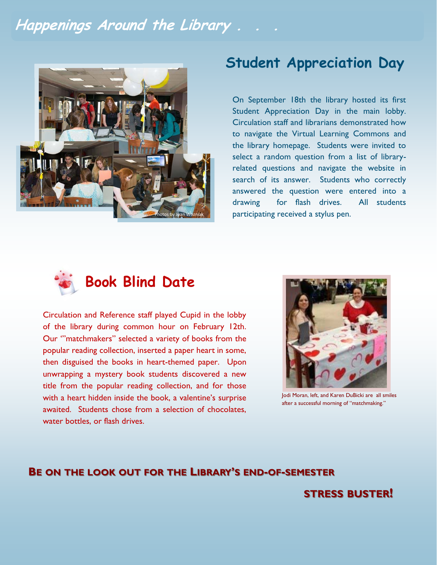#### **Happenings Around the Library . . .**



#### **Student Appreciation Day**

On September 18th the library hosted its first Student Appreciation Day in the main lobby. Circulation staff and librarians demonstrated how to navigate the Virtual Learning Commons and the library homepage. Students were invited to select a random question from a list of libraryrelated questions and navigate the website in search of its answer. Students who correctly answered the question were entered into a drawing for flash drives. All students participating received a stylus pen.



Circulation and Reference staff played Cupid in the lobby of the library during common hour on February 12th. Our '"matchmakers" selected a variety of books from the popular reading collection, inserted a paper heart in some, then disguised the books in heart-themed paper. Upon unwrapping a mystery book students discovered a new title from the popular reading collection, and for those with a heart hidden inside the book, a valentine's surprise awaited. Students chose from a selection of chocolates, water bottles, or flash drives.



Jodi Moran, left, and Karen DuBicki are all smiles after a successful morning of "matchmaking."

#### **BE ON THE LOOK OUT FOR THE LIBRARY'S END-OF-SEMESTER SEMESTER**

 **STRESS BUSTER!**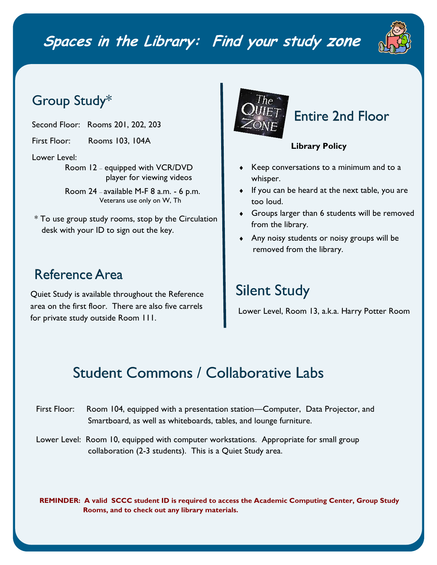# **Spaces in the Library: Find your study zone**



#### Group Study\*

- Second Floor: Rooms 201, 202, 203
- First Floor: Rooms 103, 104A

#### Lower Level:

- Room 12 equipped with VCR/DVD player for viewing videos
- Room 24 available M-F 8 a.m. 6 p.m. Veterans use only on W, Th
- \* To use group study rooms, stop by the Circulation desk with your ID to sign out the key.

#### Reference Area

Quiet Study is available throughout the Reference area on the first floor. There are also five carrels for private study outside Room 111.



# **Entire 2nd Floor**

#### **Library Policy**

- Keep conversations to a minimum and to a whisper.
- If you can be heard at the next table, you are too loud.
- Groups larger than 6 students will be removed from the library.
- Any noisy students or noisy groups will be removed from the library.

### **Silent Study**

Lower Level, Room 13, a.k.a. Harry Potter Room

#### Student Commons / Collaborative Labs

- First Floor: Room 104, equipped with a presentation station—Computer, Data Projector, and Smartboard, as well as whiteboards, tables, and lounge furniture.
- Lower Level: Room 10, equipped with computer workstations. Appropriate for small group collaboration (2-3 students). This is a Quiet Study area.

**REMINDER: A valid SCCC student ID is required to access the Academic Computing Center, Group Study Rooms, and to check out any library materials.**